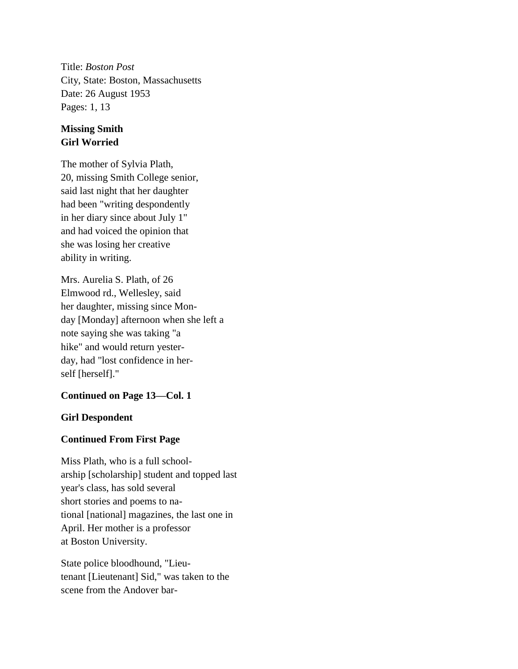Title: *Boston Post* City, State: Boston, Massachusetts Date: 26 August 1953 Pages: 1, 13

## **Missing Smith Girl Worried**

The mother of Sylvia Plath, 20, missing Smith College senior, said last night that her daughter had been "writing despondently in her diary since about July 1" and had voiced the opinion that she was losing her creative ability in writing.

Mrs. Aurelia S. Plath, of 26 Elmwood rd., Wellesley, said her daughter, missing since Monday [Monday] afternoon when she left a note saying she was taking "a hike" and would return yesterday, had "lost confidence in herself [herself]."

## **Continued on Page 13—Col. 1**

## **Girl Despondent**

## **Continued From First Page**

Miss Plath, who is a full schoolarship [scholarship] student and topped last year's class, has sold several short stories and poems to national [national] magazines, the last one in April. Her mother is a professor at Boston University.

State police bloodhound, "Lieutenant [Lieutenant] Sid," was taken to the scene from the Andover bar